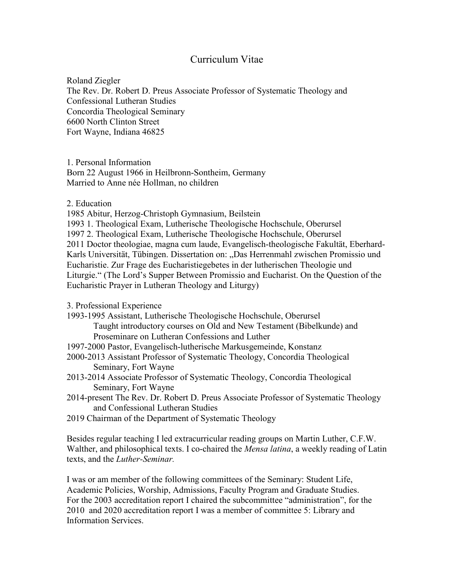## Curriculum Vitae

Roland Ziegler The Rev. Dr. Robert D. Preus Associate Professor of Systematic Theology and Confessional Lutheran Studies Concordia Theological Seminary 6600 North Clinton Street Fort Wayne, Indiana 46825

1. Personal Information Born 22 August 1966 in Heilbronn-Sontheim, Germany Married to Anne née Hollman, no children

2. Education

1985 Abitur, Herzog-Christoph Gymnasium, Beilstein

1993 1. Theological Exam, Lutherische Theologische Hochschule, Oberursel 1997 2. Theological Exam, Lutherische Theologische Hochschule, Oberursel 2011 Doctor theologiae, magna cum laude, Evangelisch-theologische Fakultät, Eberhard-Karls Universität, Tübingen. Dissertation on: "Das Herrenmahl zwischen Promissio und Eucharistie. Zur Frage des Eucharistiegebetes in der lutherischen Theologie und Liturgie." (The Lord's Supper Between Promissio and Eucharist. On the Question of the Eucharistic Prayer in Lutheran Theology and Liturgy)

3. Professional Experience

- 1993-1995 Assistant, Lutherische Theologische Hochschule, Oberursel Taught introductory courses on Old and New Testament (Bibelkunde) and Proseminare on Lutheran Confessions and Luther
- 1997-2000 Pastor, Evangelisch-lutherische Markusgemeinde, Konstanz
- 2000-2013 Assistant Professor of Systematic Theology, Concordia Theological Seminary, Fort Wayne
- 2013-2014 Associate Professor of Systematic Theology, Concordia Theological Seminary, Fort Wayne
- 2014-present The Rev. Dr. Robert D. Preus Associate Professor of Systematic Theology and Confessional Lutheran Studies
- 2019 Chairman of the Department of Systematic Theology

Besides regular teaching I led extracurricular reading groups on Martin Luther, C.F.W. Walther, and philosophical texts. I co-chaired the *Mensa latina*, a weekly reading of Latin texts, and the *Luther-Seminar.*

I was or am member of the following committees of the Seminary: Student Life, Academic Policies, Worship, Admissions, Faculty Program and Graduate Studies. For the 2003 accreditation report I chaired the subcommittee "administration", for the 2010 and 2020 accreditation report I was a member of committee 5: Library and Information Services.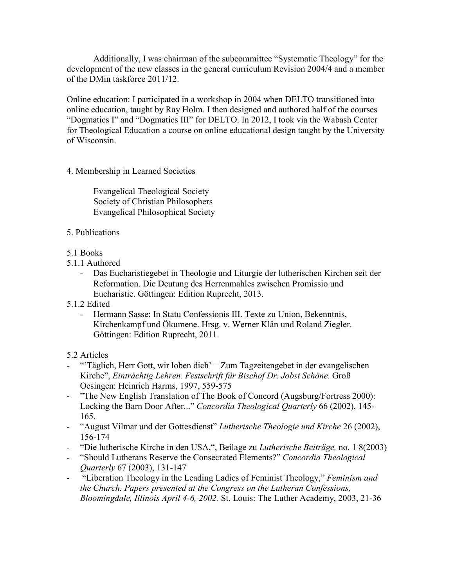Additionally, I was chairman of the subcommittee "Systematic Theology" for the development of the new classes in the general curriculum Revision 2004/4 and a member of the DMin taskforce 2011/12.

Online education: I participated in a workshop in 2004 when DELTO transitioned into online education, taught by Ray Holm. I then designed and authored half of the courses "Dogmatics I" and "Dogmatics III" for DELTO. In 2012, I took via the Wabash Center for Theological Education a course on online educational design taught by the University of Wisconsin.

## 4. Membership in Learned Societies

Evangelical Theological Society Society of Christian Philosophers Evangelical Philosophical Society

- 5. Publications
- 5.1 Books
- 5.1.1 Authored
	- Das Eucharistiegebet in Theologie und Liturgie der lutherischen Kirchen seit der Reformation. Die Deutung des Herrenmahles zwischen Promissio und Eucharistie. Göttingen: Edition Ruprecht, 2013.
- 5.1.2 Edited
	- Hermann Sasse: In Statu Confessionis III. Texte zu Union, Bekenntnis, Kirchenkampf und Ökumene. Hrsg. v. Werner Klän und Roland Ziegler. Göttingen: Edition Ruprecht, 2011.

## 5.2 Articles

- "Täglich, Herr Gott, wir loben dich' Zum Tagzeitengebet in der evangelischen Kirche", *Einträchtig Lehren. Festschrift für Bischof Dr. Jobst Schöne.* Groß Oesingen: Heinrich Harms, 1997, 559-575
- "The New English Translation of The Book of Concord (Augsburg/Fortress 2000): Locking the Barn Door After..." *Concordia Theological Quarterly* 66 (2002), 145- 165.
- "August Vilmar und der Gottesdienst" *Lutherische Theologie und Kirche* 26 (2002), 156-174
- "Die lutherische Kirche in den USA,", Beilage zu *Lutherische Beiträge,* no. 1 8(2003)
- "Should Lutherans Reserve the Consecrated Elements?" *Concordia Theological Quarterly* 67 (2003), 131-147
- "Liberation Theology in the Leading Ladies of Feminist Theology," *Feminism and the Church. Papers presented at the Congress on the Lutheran Confessions, Bloomingdale, Illinois April 4-6, 2002.* St. Louis: The Luther Academy, 2003, 21-36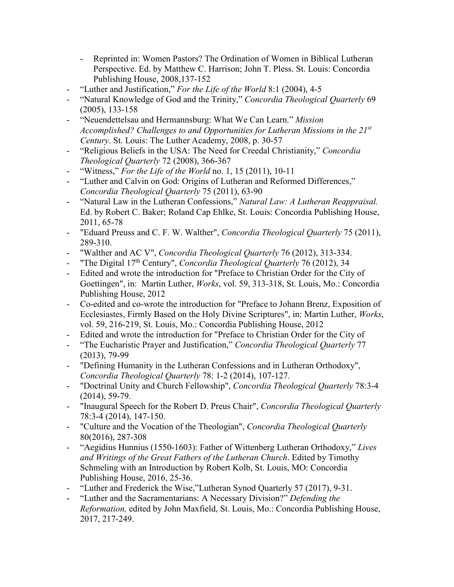- Reprinted in: Women Pastors? The Ordination of Women in Biblical Lutheran Perspective. Ed. by Matthew C. Harrison; John T. Pless. St. Louis: Concordia Publishing House, 2008,137-152
- "Luther and Justification," For the Life of the World 8:1 (2004), 4-5
- "Natural Knowledge of God and the Trinity," *Concordia Theological Quarterly* 69 (2005), 133-158
- "Neuendettelsau and Hermannsburg: What We Can Learn." *Mission Accomplished? Challenges to and Opportunities for Lutheran Missions in the 21st Century*. St. Louis: The Luther Academy, 2008, p. 30-57
- "Religious Beliefs in the USA: The Need for Creedal Christianity," *Concordia Theological Quarterly* 72 (2008), 366-367
- "Witness," *For the Life of the World* no. 1, 15 (2011), 10-11
- "Luther and Calvin on God: Origins of Lutheran and Reformed Differences," *Concordia Theological Quarterly* 75 (2011), 63-90
- "Natural Law in the Lutheran Confessions," *Natural Law: A Lutheran Reappraisal.* Ed. by Robert C. Baker; Roland Cap Ehlke, St. Louis: Concordia Publishing House, 2011, 65-78
- "Eduard Preuss and C. F. W. Walther", *Concordia Theological Quarterly* 75 (2011), 289-310.
- "Walther and AC V", *Concordia Theological Quarterly* 76 (2012), 313-334.
- "The Digital 17th Century", *Concordia Theological Quarterly* 76 (2012), 34
- Edited and wrote the introduction for "Preface to Christian Order for the City of Goettingen", in: Martin Luther, *Works*, vol. 59, 313-318, St. Louis, Mo.: Concordia Publishing House, 2012
- Co-edited and co-wrote the introduction for "Preface to Johann Brenz, Exposition of Ecclesiastes, Firmly Based on the Holy Divine Scriptures", in: Martin Luther, *Works*, vol. 59, 216-219, St. Louis, Mo.: Concordia Publishing House, 2012
- Edited and wrote the introduction for "Preface to Christian Order for the City of
- "The Eucharistic Prayer and Justification," *Concordia Theological Quarterly* 77 (2013), 79-99
- "Defining Humanity in the Lutheran Confessions and in Lutheran Orthodoxy", *Concordia Theological Quarterly* 78: 1-2 (2014), 107-127.
- "Doctrinal Unity and Church Fellowship", *Concordia Theological Quarterly* 78:3-4 (2014), 59-79.
- "Inaugural Speech for the Robert D. Preus Chair", *Concordia Theological Quarterly* 78:3-4 (2014), 147-150.
- "Culture and the Vocation of the Theologian", *Concordia Theological Quarterly* 80(2016), 287-308
- "Aegidius Hunnius (1550-1603): Father of Wittenberg Lutheran Orthodoxy," *Lives and Writings of the Great Fathers of the Lutheran Church*. Edited by Timothy Schmeling with an Introduction by Robert Kolb, St. Louis, MO: Concordia Publishing House, 2016, 25-36.
- "Luther and Frederick the Wise,"Lutheran Synod Quarterly 57 (2017), 9-31.
- "Luther and the Sacramentarians: A Necessary Division?" *Defending the Reformation,* edited by John Maxfield, St. Louis, Mo.: Concordia Publishing House, 2017, 217-249.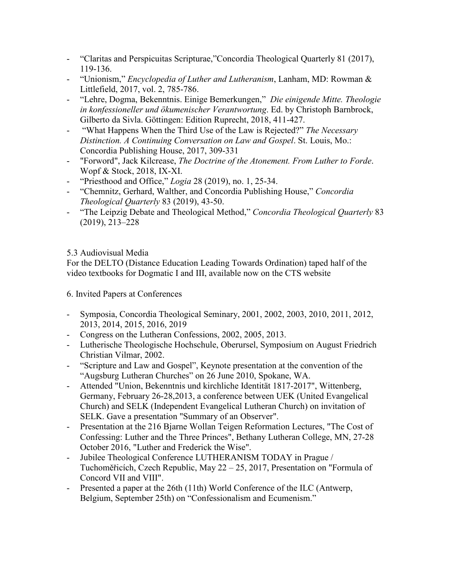- "Claritas and Perspicuitas Scripturae,"Concordia Theological Quarterly 81 (2017), 119-136.
- "Unionism," *Encyclopedia of Luther and Lutheranism*, Lanham, MD: Rowman & Littlefield, 2017, vol. 2, 785-786.
- "Lehre, Dogma, Bekenntnis. Einige Bemerkungen," *Die einigende Mitte. Theologie in konfessioneller und ökumenischer Verantwortung*. Ed. by Christoph Barnbrock, Gilberto da Sivla. Göttingen: Edition Ruprecht, 2018, 411-427.
- "What Happens When the Third Use of the Law is Rejected?" *The Necessary Distinction. A Continuing Conversation on Law and Gospel*. St. Louis, Mo.: Concordia Publishing House, 2017, 309-331
- "Forword", Jack Kilcrease, *The Doctrine of the Atonement. From Luther to Forde*. Wopf & Stock, 2018, IX-XI.
- "Priesthood and Office," *Logia* 28 (2019), no. 1, 25-34.
- "Chemnitz, Gerhard, Walther, and Concordia Publishing House," *Concordia Theological Quarterly* 83 (2019), 43-50.
- "The Leipzig Debate and Theological Method," *Concordia Theological Quarterly* 83 (2019), 213–228

## 5.3 Audiovisual Media

For the DELTO (Distance Education Leading Towards Ordination) taped half of the video textbooks for Dogmatic I and III, available now on the CTS website

6. Invited Papers at Conferences

- Symposia, Concordia Theological Seminary, 2001, 2002, 2003, 2010, 2011, 2012, 2013, 2014, 2015, 2016, 2019
- Congress on the Lutheran Confessions, 2002, 2005, 2013.
- Lutherische Theologische Hochschule, Oberursel, Symposium on August Friedrich Christian Vilmar, 2002.
- "Scripture and Law and Gospel", Keynote presentation at the convention of the "Augsburg Lutheran Churches" on 26 June 2010, Spokane, WA.
- Attended "Union, Bekenntnis und kirchliche Identität 1817-2017", Wittenberg, Germany, February 26-28,2013, a conference between UEK (United Evangelical Church) and SELK (Independent Evangelical Lutheran Church) on invitation of SELK. Gave a presentation "Summary of an Observer".
- Presentation at the 216 Bjarne Wollan Teigen Reformation Lectures, "The Cost of Confessing: Luther and the Three Princes", Bethany Lutheran College, MN, 27-28 October 2016, "Luther and Frederick the Wise".
- Jubilee Theological Conference LUTHERANISM TODAY in Prague / Tuchoměřicích, Czech Republic, May 22 – 25, 2017, Presentation on "Formula of Concord VII and VIII".
- Presented a paper at the 26th (11th) World Conference of the ILC (Antwerp, Belgium, September 25th) on "Confessionalism and Ecumenism."